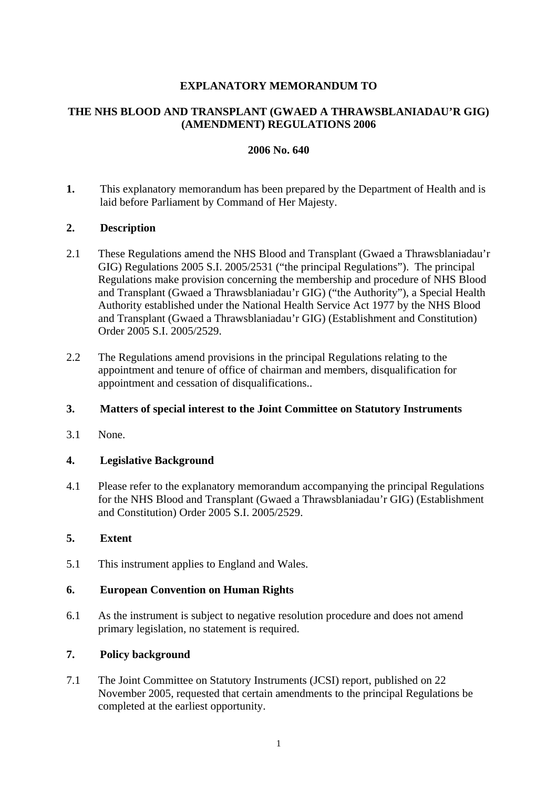# **EXPLANATORY MEMORANDUM TO**

# **THE NHS BLOOD AND TRANSPLANT (GWAED A THRAWSBLANIADAU'R GIG) (AMENDMENT) REGULATIONS 2006**

### **2006 No. 640**

**1.** This explanatory memorandum has been prepared by the Department of Health and is laid before Parliament by Command of Her Majesty.

### **2. Description**

- 2.1 These Regulations amend the NHS Blood and Transplant (Gwaed a Thrawsblaniadau'r GIG) Regulations 2005 S.I. 2005/2531 ("the principal Regulations"). The principal Regulations make provision concerning the membership and procedure of NHS Blood and Transplant (Gwaed a Thrawsblaniadau'r GIG) ("the Authority"), a Special Health Authority established under the National Health Service Act 1977 by the NHS Blood and Transplant (Gwaed a Thrawsblaniadau'r GIG) (Establishment and Constitution) Order 2005 S.I. 2005/2529.
- 2.2 The Regulations amend provisions in the principal Regulations relating to the appointment and tenure of office of chairman and members, disqualification for appointment and cessation of disqualifications..

#### **3. Matters of special interest to the Joint Committee on Statutory Instruments**

3.1 None.

#### **4. Legislative Background**

4.1 Please refer to the explanatory memorandum accompanying the principal Regulations for the NHS Blood and Transplant (Gwaed a Thrawsblaniadau'r GIG) (Establishment and Constitution) Order 2005 S.I. 2005/2529.

#### **5. Extent**

5.1 This instrument applies to England and Wales.

### **6. European Convention on Human Rights**

6.1 As the instrument is subject to negative resolution procedure and does not amend primary legislation, no statement is required.

### **7. Policy background**

7.1 The Joint Committee on Statutory Instruments (JCSI) report, published on 22 November 2005, requested that certain amendments to the principal Regulations be completed at the earliest opportunity.